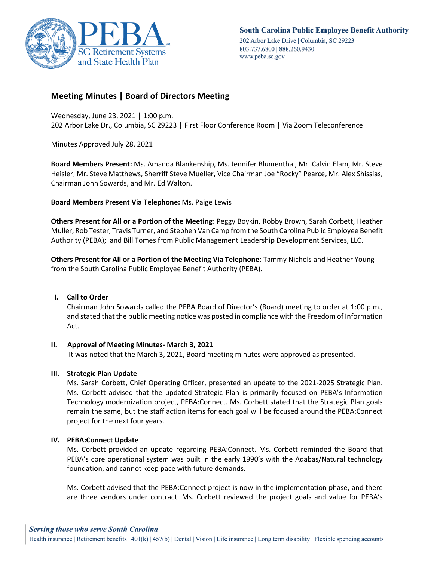

# **Meeting Minutes | Board of Directors Meeting**

Wednesday, June 23, 2021 │ 1:00 p.m. 202 Arbor Lake Dr., Columbia, SC 29223 │ First Floor Conference Room │ Via Zoom Teleconference

Minutes Approved July 28, 2021

**Board Members Present:** Ms. Amanda Blankenship, Ms. Jennifer Blumenthal, Mr. Calvin Elam, Mr. Steve Heisler, Mr. Steve Matthews, Sherriff Steve Mueller, Vice Chairman Joe "Rocky" Pearce, Mr. Alex Shissias, Chairman John Sowards, and Mr. Ed Walton.

**Board Members Present Via Telephone:** Ms. Paige Lewis

**Others Present for All or a Portion of the Meeting**: Peggy Boykin, Robby Brown, Sarah Corbett, Heather Muller, Rob Tester, Travis Turner, and Stephen Van Camp from the South Carolina Public Employee Benefit Authority (PEBA); and Bill Tomes from Public Management Leadership Development Services, LLC.

**Others Present for All or a Portion of the Meeting Via Telephone**: Tammy Nichols and Heather Young from the South Carolina Public Employee Benefit Authority (PEBA).

## **I. Call to Order**

Chairman John Sowards called the PEBA Board of Director's (Board) meeting to order at 1:00 p.m., and stated that the public meeting notice was posted in compliance with the Freedom of Information Act.

## **II. Approval of Meeting Minutes- March 3, 2021**

It was noted that the March 3, 2021, Board meeting minutes were approved as presented.

## **III. Strategic Plan Update**

Ms. Sarah Corbett, Chief Operating Officer, presented an update to the 2021-2025 Strategic Plan. Ms. Corbett advised that the updated Strategic Plan is primarily focused on PEBA's Information Technology modernization project, PEBA:Connect. Ms. Corbett stated that the Strategic Plan goals remain the same, but the staff action items for each goal will be focused around the PEBA:Connect project for the next four years.

## **IV. PEBA:Connect Update**

Ms. Corbett provided an update regarding PEBA:Connect. Ms. Corbett reminded the Board that PEBA's core operational system was built in the early 1990's with the Adabas/Natural technology foundation, and cannot keep pace with future demands.

Ms. Corbett advised that the PEBA:Connect project is now in the implementation phase, and there are three vendors under contract. Ms. Corbett reviewed the project goals and value for PEBA's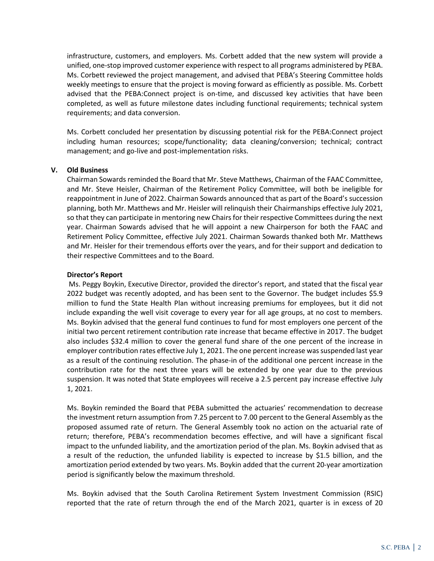infrastructure, customers, and employers. Ms. Corbett added that the new system will provide a unified, one-stop improved customer experience with respect to all programs administered by PEBA. Ms. Corbett reviewed the project management, and advised that PEBA's Steering Committee holds weekly meetings to ensure that the project is moving forward as efficiently as possible. Ms. Corbett advised that the PEBA:Connect project is on-time, and discussed key activities that have been completed, as well as future milestone dates including functional requirements; technical system requirements; and data conversion.

Ms. Corbett concluded her presentation by discussing potential risk for the PEBA:Connect project including human resources; scope/functionality; data cleaning/conversion; technical; contract management; and go-live and post-implementation risks.

#### **V. Old Business**

Chairman Sowards reminded the Board that Mr. Steve Matthews, Chairman of the FAAC Committee, and Mr. Steve Heisler, Chairman of the Retirement Policy Committee, will both be ineligible for reappointment in June of 2022. Chairman Sowards announced that as part of the Board's succession planning, both Mr. Matthews and Mr. Heisler will relinquish their Chairmanships effective July 2021, so that they can participate in mentoring new Chairs for their respective Committees during the next year. Chairman Sowards advised that he will appoint a new Chairperson for both the FAAC and Retirement Policy Committee, effective July 2021. Chairman Sowards thanked both Mr. Matthews and Mr. Heisler for their tremendous efforts over the years, and for their support and dedication to their respective Committees and to the Board.

#### **Director's Report**

Ms. Peggy Boykin, Executive Director, provided the director's report, and stated that the fiscal year 2022 budget was recently adopted, and has been sent to the Governor. The budget includes \$5.9 million to fund the State Health Plan without increasing premiums for employees, but it did not include expanding the well visit coverage to every year for all age groups, at no cost to members. Ms. Boykin advised that the general fund continues to fund for most employers one percent of the initial two percent retirement contribution rate increase that became effective in 2017. The budget also includes \$32.4 million to cover the general fund share of the one percent of the increase in employer contribution rates effective July 1, 2021. The one percent increase was suspended last year as a result of the continuing resolution. The phase-in of the additional one percent increase in the contribution rate for the next three years will be extended by one year due to the previous suspension. It was noted that State employees will receive a 2.5 percent pay increase effective July 1, 2021.

Ms. Boykin reminded the Board that PEBA submitted the actuaries' recommendation to decrease the investment return assumption from 7.25 percent to 7.00 percent to the General Assembly as the proposed assumed rate of return. The General Assembly took no action on the actuarial rate of return; therefore, PEBA's recommendation becomes effective, and will have a significant fiscal impact to the unfunded liability, and the amortization period of the plan. Ms. Boykin advised that as a result of the reduction, the unfunded liability is expected to increase by \$1.5 billion, and the amortization period extended by two years. Ms. Boykin added that the current 20-year amortization period is significantly below the maximum threshold.

Ms. Boykin advised that the South Carolina Retirement System Investment Commission (RSIC) reported that the rate of return through the end of the March 2021, quarter is in excess of 20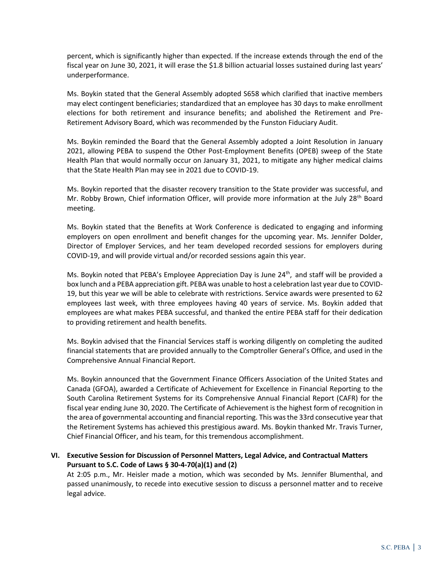percent, which is significantly higher than expected. If the increase extends through the end of the fiscal year on June 30, 2021, it will erase the \$1.8 billion actuarial losses sustained during last years' underperformance.

Ms. Boykin stated that the General Assembly adopted S658 which clarified that inactive members may elect contingent beneficiaries; standardized that an employee has 30 days to make enrollment elections for both retirement and insurance benefits; and abolished the Retirement and Pre-Retirement Advisory Board, which was recommended by the Funston Fiduciary Audit.

Ms. Boykin reminded the Board that the General Assembly adopted a Joint Resolution in January 2021, allowing PEBA to suspend the Other Post-Employment Benefits (OPEB) sweep of the State Health Plan that would normally occur on January 31, 2021, to mitigate any higher medical claims that the State Health Plan may see in 2021 due to COVID-19.

Ms. Boykin reported that the disaster recovery transition to the State provider was successful, and Mr. Robby Brown, Chief information Officer, will provide more information at the July 28<sup>th</sup> Board meeting.

Ms. Boykin stated that the Benefits at Work Conference is dedicated to engaging and informing employers on open enrollment and benefit changes for the upcoming year. Ms. Jennifer Dolder, Director of Employer Services, and her team developed recorded sessions for employers during COVID-19, and will provide virtual and/or recorded sessions again this year.

Ms. Boykin noted that PEBA's Employee Appreciation Day is June 24<sup>th</sup>, and staff will be provided a box lunch and a PEBA appreciation gift. PEBA was unable to host a celebration last year due to COVID-19, but this year we will be able to celebrate with restrictions. Service awards were presented to 62 employees last week, with three employees having 40 years of service. Ms. Boykin added that employees are what makes PEBA successful, and thanked the entire PEBA staff for their dedication to providing retirement and health benefits.

Ms. Boykin advised that the Financial Services staff is working diligently on completing the audited financial statements that are provided annually to the Comptroller General's Office, and used in the Comprehensive Annual Financial Report.

Ms. Boykin announced that the Government Finance Officers Association of the United States and Canada (GFOA), awarded a Certificate of Achievement for Excellence in Financial Reporting to the South Carolina Retirement Systems for its Comprehensive Annual Financial Report (CAFR) for the fiscal year ending June 30, 2020. The Certificate of Achievement is the highest form of recognition in the area of governmental accounting and financial reporting. This was the 33rd consecutive year that the Retirement Systems has achieved this prestigious award. Ms. Boykin thanked Mr. Travis Turner, Chief Financial Officer, and his team, for this tremendous accomplishment.

## **VI. Executive Session for Discussion of Personnel Matters, Legal Advice, and Contractual Matters Pursuant to S.C. Code of Laws § 30-4-70(a)(1) and (2)**

At 2:05 p.m., Mr. Heisler made a motion, which was seconded by Ms. Jennifer Blumenthal, and passed unanimously, to recede into executive session to discuss a personnel matter and to receive legal advice.